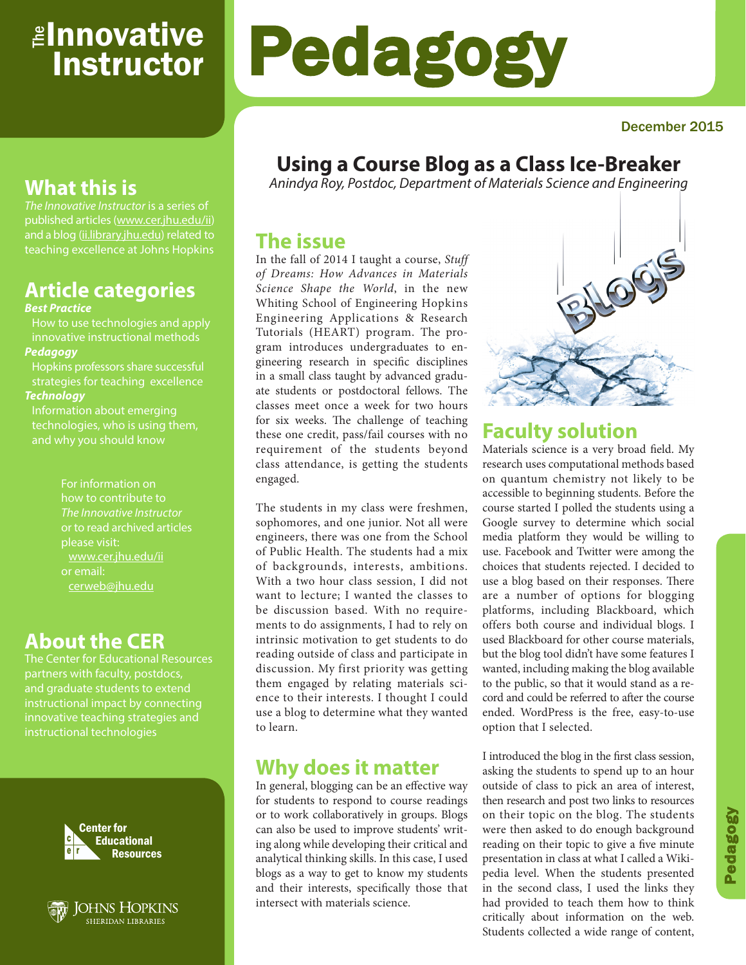# <sub>≝l</sub>nnovative **Instructor**

# Pedagogy

#### December 2015

# **Using a Course Blog as a Class Ice-Breaker**

*Anindya Roy, Postdoc, Department of Materials Science and Engineering*

## **The issue**

In the fall of 2014 I taught a course, *Stuff of Dreams: How Advances in Materials Science Shape the World*, in the new Whiting School of Engineering Hopkins Engineering Applications & Research Tutorials (HEART) program. The program introduces undergraduates to engineering research in specific disciplines in a small class taught by advanced graduate students or postdoctoral fellows. The classes meet once a week for two hours for six weeks. The challenge of teaching these one credit, pass/fail courses with no requirement of the students beyond class attendance, is getting the students engaged.

The students in my class were freshmen, sophomores, and one junior. Not all were engineers, there was one from the School of Public Health. The students had a mix of backgrounds, interests, ambitions. With a two hour class session, I did not want to lecture; I wanted the classes to be discussion based. With no requirements to do assignments, I had to rely on intrinsic motivation to get students to do reading outside of class and participate in discussion. My first priority was getting them engaged by relating materials science to their interests. I thought I could use a blog to determine what they wanted to learn.

## **Why does it matter**

In general, blogging can be an effective way for students to respond to course readings or to work collaboratively in groups. Blogs can also be used to improve students' writing along while developing their critical and analytical thinking skills. In this case, I used blogs as a way to get to know my students and their interests, specifically those that intersect with materials science.



# **Faculty solution**

Materials science is a very broad field. My research uses computational methods based on quantum chemistry not likely to be accessible to beginning students. Before the course started I polled the students using a Google survey to determine which social media platform they would be willing to use. Facebook and Twitter were among the choices that students rejected. I decided to use a blog based on their responses. There are a number of options for blogging platforms, including Blackboard, which offers both course and individual blogs. I used Blackboard for other course materials, but the blog tool didn't have some features I wanted, including making the blog available to the public, so that it would stand as a record and could be referred to after the course ended. WordPress is the free, easy-to-use option that I selected.

I introduced the blog in the first class session, asking the students to spend up to an hour outside of class to pick an area of interest, then research and post two links to resources on their topic on the blog. The students were then asked to do enough background reading on their topic to give a five minute presentation in class at what I called a Wikipedia level. When the students presented in the second class, I used the links they had provided to teach them how to think critically about information on the web. Students collected a wide range of content,

# **What this is**

*The Innovative Instructor* is a series of published articles (www.cer.jhu.edu/ii) and a blog (ii.library.jhu.edu) related to teaching excellence at Johns Hopkins

# **Article categories**

#### *Best Practice*

How to use technologies and apply innovative instructional methods *Pedagogy*

Hopkins professors share successful strategies for teaching excellence

#### *Technology*

Information about emerging technologies, who is using them,

> For information on how to contribute to *The Innovative Instructor* or to read archived articles www.cer.jhu.edu/ii or email: cerweb@jhu.edu

# **About the CER**

The Center for Educational Resources partners with faculty, postdocs, and graduate students to extend innovative teaching strategies and instructional technologies